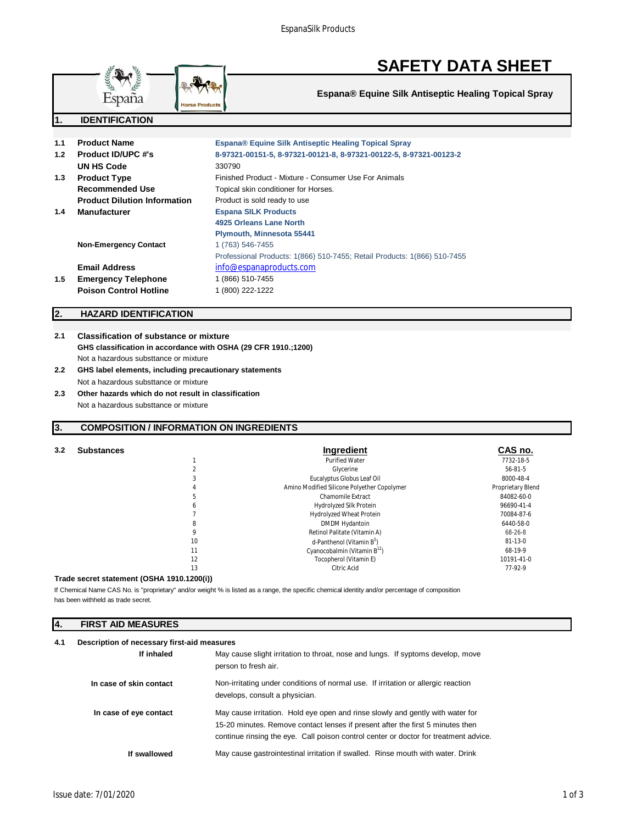

**Espana® Equine Silk Antiseptic Healing Topical Spray**

| 1.1 | <b>Product Name</b>                 | <b>Espana® Equine Silk Antiseptic Healing Topical Spray</b>              |
|-----|-------------------------------------|--------------------------------------------------------------------------|
| 1.2 | <b>Product ID/UPC #'s</b>           | 8-97321-00151-5, 8-97321-00121-8, 8-97321-00122-5, 8-97321-00123-2       |
|     | UN HS Code                          | 330790                                                                   |
| 1.3 | <b>Product Type</b>                 | Finished Product - Mixture - Consumer Use For Animals                    |
|     | Recommended Use                     | Topical skin conditioner for Horses.                                     |
|     | <b>Product Dilution Information</b> | Product is sold ready to use                                             |
| 1.4 | <b>Manufacturer</b>                 | <b>Espana SILK Products</b>                                              |
|     |                                     | 4925 Orleans Lane North                                                  |
|     |                                     | Plymouth, Minnesota 55441                                                |
|     | <b>Non-Emergency Contact</b>        | 1 (763) 546-7455                                                         |
|     |                                     | Professional Products: 1(866) 510-7455; Retail Products: 1(866) 510-7455 |
|     | <b>Email Address</b>                | info@espanaproducts.com                                                  |
| 1.5 | <b>Emergency Telephone</b>          | 1 (866) 510-7455                                                         |
|     | <b>Poison Control Hotline</b>       | 1 (800) 222-1222                                                         |

# **2. HAZARD IDENTIFICATION**

**1. IDENTIFICATION**

# **2.1 Classification of substance or mixture GHS classification in accordance with OSHA (29 CFR 1910.;1200)** Not a hazardous substtance or mixture

**lorse Product** 

- **2.2 GHS label elements, including precautionary statements** Not a hazardous substtance or mixture
- **2.3 Other hazards which do not result in classification** Not a hazardous substtance or mixture

# **3. COMPOSITION / INFORMATION ON INGREDIENTS**

| 3.2 | <b>Substances</b> |    | Ingredient                                  | CAS no.           |
|-----|-------------------|----|---------------------------------------------|-------------------|
|     |                   |    | <b>Purified Water</b>                       | 7732-18-5         |
|     |                   |    | Glycerine                                   | $56 - 81 - 5$     |
|     |                   |    | Eucalyptus Globus Leaf Oil                  | 8000-48-4         |
|     |                   |    | Amino Modified Silicone Polyether Copolymer | Proprietary Blend |
|     |                   |    | Chamomile Extract                           | 84082-60-0        |
|     |                   |    | Hydrolyzed Silk Protein                     | 96690-41-4        |
|     |                   |    | <b>Hydrolyzed Wheat Protein</b>             | 70084-87-6        |
|     |                   |    | DMDM Hydantoin                              | 6440-58-0         |
|     |                   |    | Retinol Palitate (Vitamin A)                | 68-26-8           |
|     |                   | 10 | d-Panthenol (Vitamin B <sup>5</sup> )       | $81 - 13 - 0$     |
|     |                   | 11 | Cyanocobalmin (Vitamin $B^{12}$ )           | 68-19-9           |
|     |                   | 12 | Tocopherol (Vitamin E)                      | 10191-41-0        |
|     |                   | 13 | Citric Acid                                 | 77-92-9           |
|     |                   |    |                                             |                   |

## **Trade secret statement (OSHA 1910.1200(i))**

has been withheld as trade secret. If Chemical Name CAS No. is "proprietary" and/or weight % is listed as a range, the specific chemical identity and/or percentage of composition

# **4. FIRST AID MEASURES**

| 4.1 | Description of necessary first-aid measures |                                                                                                                                                                                                                                                          |  |
|-----|---------------------------------------------|----------------------------------------------------------------------------------------------------------------------------------------------------------------------------------------------------------------------------------------------------------|--|
|     | If inhaled                                  | May cause slight irritation to throat, nose and lungs. If syptoms develop, move<br>person to fresh air.                                                                                                                                                  |  |
|     | In case of skin contact                     | Non-irritating under conditions of normal use. If irritation or allergic reaction<br>develops, consult a physician.                                                                                                                                      |  |
|     | In case of eye contact                      | May cause irritation. Hold eye open and rinse slowly and gently with water for<br>15-20 minutes. Remove contact lenses if present after the first 5 minutes then<br>continue rinsing the eye. Call poison control center or doctor for treatment advice. |  |
|     | If swallowed                                | May cause gastrointestinal irritation if swalled. Rinse mouth with water. Drink                                                                                                                                                                          |  |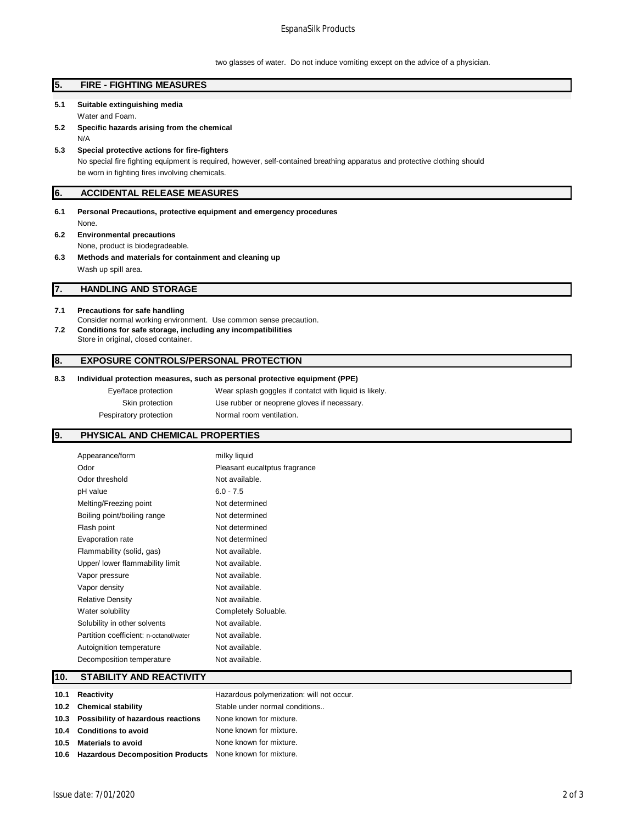# EspanaSilk Products

two glasses of water. Do not induce vomiting except on the advice of a physician.

# **5. FIRE - FIGHTING MEASURES 5.1 Suitable extinguishing media** Water and Foam. **5.2 Specific hazards arising from the chemical** N/A **5.3 Special protective actions for fire-fighters** No special fire fighting equipment is required, however, self-contained breathing apparatus and protective clothing should be worn in fighting fires involving chemicals. **6. ACCIDENTAL RELEASE MEASURES 6.1 Personal Precautions, protective equipment and emergency procedures** None. **6.2 Environmental precautions** None, product is biodegradeable. **6.3 Methods and materials for containment and cleaning up** Wash up spill area. **7. HANDLING AND STORAGE 7.1 Precautions for safe handling** Consider normal working environment. Use common sense precaution. **7.2 Conditions for safe storage, including any incompatibilities** Store in original, closed container. **8. EXPOSURE CONTROLS/PERSONAL PROTECTION**

## **8.3 Individual protection measures, such as personal protective equipment (PPE)**

| Eye/face protection    | Wear splash goggles if contatct with liquid is likely. |
|------------------------|--------------------------------------------------------|
| Skin protection        | Use rubber or neoprene gloves if necessary.            |
| Pespiratory protection | Normal room ventilation.                               |

# **9. PHYSICAL AND CHEMICAL PROPERTIES**

| Appearance/form                        | milky liquid                  |
|----------------------------------------|-------------------------------|
| Odor                                   | Pleasant eucaltptus fragrance |
| Odor threshold                         | Not available.                |
| pH value                               | $6.0 - 7.5$                   |
| Melting/Freezing point                 | Not determined                |
| Boiling point/boiling range            | Not determined                |
| Flash point                            | Not determined                |
| Evaporation rate                       | Not determined                |
| Flammability (solid, gas)              | Not available.                |
| Upper/ lower flammability limit        | Not available.                |
| Vapor pressure                         | Not available.                |
| Vapor density                          | Not available.                |
| <b>Relative Density</b>                | Not available.                |
| Water solubility                       | Completely Soluable.          |
| Solubility in other solvents           | Not available.                |
| Partition coefficient: n-octanol/water | Not available.                |
| Autoignition temperature               | Not available.                |
| Decomposition temperature              | Not available.                |
|                                        |                               |

# **10. STABILITY AND REACTIVITY**

| 10.1 Reactivity                                               | Hazardous polymerization: will not occur. |
|---------------------------------------------------------------|-------------------------------------------|
| 10.2 Chemical stability                                       | Stable under normal conditions            |
| 10.3 Possibility of hazardous reactions                       | None known for mixture.                   |
| 10.4 Conditions to avoid                                      | None known for mixture.                   |
| 10.5 Materials to avoid                                       | None known for mixture.                   |
| 10.6 Hazardous Decomposition Products None known for mixture. |                                           |